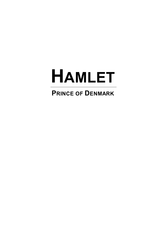# **HAMLET**

# **PRINCE OF DENMARK**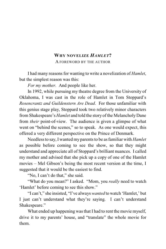#### **WHY NOVELIZE** *HAMLET***?**

A FOREWORD BY THE AUTHOR

I had many reasons for wanting to write a novelization of *Hamlet*, but the simplest reason was this:

*For my mother.* And people like her.

In 1992, while pursuing my theatre degree from the University of Oklahoma, I was cast in the role of Hamlet in Tom Stoppard's *Rosencrantz and Guildenstern Are Dead*. For those unfamiliar with this genius stage play, Stoppard took two relatively minor characters from Shakespeare's *Hamlet* and told the story of the Melancholy Dane from *their* point-of-view. The audience is given a glimpse of what went on "behind the scenes," so to speak. As one would expect, this offered a very different perspective on the Prince of Denmark.

Needless to say, I wanted my parents to be as familiar with *Hamlet* as possible before coming to see the show, so that they might understand and appreciate all of Stoppard's brilliant nuances. I called my mother and advised that she pick up a copy of one of the Hamlet movies – Mel Gibson's being the most recent version at the time, I suggested that it would be the easiest to find.

"No, I can't do that," she said.

"What do you mean?" I asked. "Mom, you *really* need to watch 'Hamlet' before coming to see this show."

"I can't," she insisted, "I've always *wanted* to watch 'Hamlet,' but I just can't understand what they're saying. I can't understand Shakespeare."

What ended up happening was that I had to rent the movie myself, drive it to my parents' house, and "translate" the whole movie for them.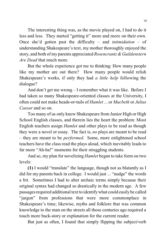The interesting thing was, as the movie played on, I had to do it less and less. They started "getting it" more and more on their own. Once she'd gotten past the difficulty – and *intimidation* – of understanding Shakespeare's text, my mother thoroughly enjoyed the story, and both of my parents appreciated *Rosencrantz & Guildenstern Are Dead* that much more.

But the whole experience got me to thinking: How many people like my mother are out there? How many people would relish Shakespeare's works, if only they had *a little help* following the dialogue?

And don't get me wrong – I remember what it was like. Before I had taken so many Shakespeare-oriented classes at the University, I often could not make heads-or-tails of *Hamlet* ... or *Macbeth* or *Julius Caesar* and so on.

Too many of us only know Shakespeare from Junior High or High School English classes, and therein lies the heart the problem: Most English teachers assign *Hamlet* and other plays to be read as though they were a novel or essay. The fact is, *no* plays are meant to be read – they are meant to be *performed*. Some, more enlightened school teachers have the class read the plays aloud, which inevitably leads to far more "Ah-ha!" moments for their struggling students.

And so, my plan for novelizing *Hamlet* began to take form on two levels:

**(1)** I would "translate" the language, though not as blatantly as I did for my parents back in college. I would just ... "nudge" the words a bit. Sometimes I had to alter archaic terms simply because their original syntax had changed so drastically in the modern age. A few passages required additional text to identify what could easily be called "jargon" from professions that were more commonplace in Shakespeare's time; likewise, myths and folklore that was common knowledge to the man on the streets all those centuries ago required a touch more back-story or explanation for the current reader.

But just as often, I found that simply flipping the subject/verb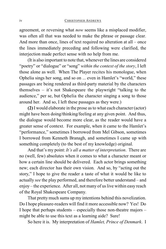agreement, or reversing what *now* seems like a misplaced modifier, was often all that was needed to make the phrase or passage clear. And more than once, lines of text required no alteration at all – once the lines immediately preceding and following were clarified, the interjection made perfect sense with no help from me.

(It is also important to note that, wheneverthe lines are considered "poetry" or "dialogue" or "song" *within the context of the story*, I left those alone as well. When The Player recites his monologue, when Ophelia sings her song, and so on ... even in Hamlet's "world," these passages are being rendered as third-party material by the characters themselves – it's not Shakespeare the playwright "talking to the audience," per se, but Ophelia the character singing a song to those around her. And so, I left these passages as they were.)

**(2)** I would elaborate in the prose as to what each character (actor) might have been doing/thinking/feeling at any given point. And thus, the dialogue would become more clear, as the reader would have a greater sense of context. For example, when it came to the Hamlet's "performance," sometimes I borrowed from Mel Gibson, sometimes I borrowed from Kenneth Branagh, and sometimes I came up with something completely (to the best of my knowledge) original.

And that's my point: *It's all a matter of interpretation*. There are no (well, few) absolutes when it comes to what a character meant or how a certain line should be delivered. Each actor brings something new; each director has their own vision. And so, by "acting out the story," I hope to give the reader a taste of what it would be like to actually *see* the play performed, and therefore better understand – and enjoy – the experience. After all, not many of us live within easy reach of the Royal Shakespeare Company.

That pretty much sums up my intentions behind this novelization. Do I hope pleasure-readers will find it more accessible now? Yes! Do I hope that perhaps students – especially those non-theatre majors – might be able to use this text as a learning aide? Sure!

So here it is. My interpretation of *Hamlet, Prince of Denmark*. I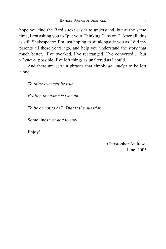hope you find the Bard's text easier to understand, but at the same time, I *am* asking you to "put your Thinking Caps on." After all, this is still Shakespeare; I'm just hoping to sit alongside you as I did my parents all those years ago, and help you understand the story that much better. I've tweaked, I've rearranged, I've converted ... but *whenever* possible, I've left things as unaltered as I could.

And there are certain phrases that simply *demanded* to be left alone:

*To thine own self be true.*

*Frailty, thy name is woman.*

*To be or not to be? That is the question.*

Some lines just *had* to stay.

Enjoy!

Christopher Andrews June, 2005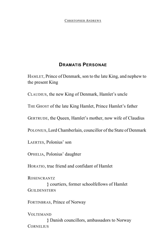#### **DRAMATIS PERSONAE**

HAMLET, Prince of Denmark, son to the late King, and nephew to the present King

CLAUDIUS, the new King of Denmark, Hamlet's uncle

THE GHOST of the late King Hamlet, Prince Hamlet's father

GERTRUDE, the Queen, Hamlet's mother, now wife of Claudius

POLONIUS, Lord Chamberlain, councillor of the State of Denmark

LAERTES, Polonius' son

OPHELIA, Polonius' daughter

HORATIO, true friend and confidant of Hamlet

ROSENCRANTZ

**}** courtiers, former schoolfellows of Hamlet GUILDENSTERN

FORTINBRAS, Prince of Norway

**VOLTEMAND** 

**}** Danish councillors, ambassadors to Norway **CORNELIUS**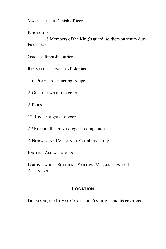MARCELLUS, a Danish officer

**BERNARDO** 

**}** Members of the King's guard, soldiers on sentry duty **FRANCISCO** 

OSRIC, a foppish courier

REYNALDO, servant to Polonius

THE PLAYERS, an acting troupe

A GENTLEMAN of the court

A PRIEST

 $1<sup>ST</sup>$  RUSTIC, a grave-digger

 $2^{ND}$  RUSTIC, the grave-digger's companion

A NORWEGIAN CAPTAIN in Fortinbras' army

ENGLISH AMBASSADORS

LORDS, LADIES, SOLDIERS, SAILORS, MESSENGERS, and **ATTENDANTS** 

#### **LOCATION**

DENMARK, the ROYAL CASTLE OF ELSINORE, and its environs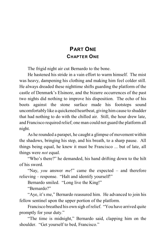## **PART ONE CHAPTER ONE**

The frigid night air cut Bernardo to the bone.

He hastened his stride in a vain effort to warm himself. The mist was heavy, dampening his clothing and making him feel colder still. He always dreaded these nighttime shifts guarding the platform of the castle of Denmark's Elsinore, and the bizarre occurrences of the past two nights did nothing to improve his disposition. The echo of his boots against the stone surface made his footsteps sound uncomfortably like a quickened heartbeat, giving himcause to shudder that had nothing to do with the chilled air. Still, the hour drew late, and Francisco required relief; one man could not guard the platform all night.

As he rounded a parapet, he caught a glimpse of movement within the shadows, bringing his step, and his breath, to a sharp pause. All things being equal, he knew it must be Francisco ... but of late, all things were *not* equal.

"Who's there?" he demanded, his hand drifting down to the hilt of his sword.

"Nay, *you* answer *me*!" came the expected – and therefore relieving – response. "Halt and identify yourself!"

Bernardo smiled. "Long live the King!"

"Bernardo?"

"Aye, it's me," Bernardo reassured him. He advanced to join his fellow sentinel upon the upper portion of the platform.

Francisco breathed his own sigh of relief. "You have arrived quite promptly for your duty."

"The time is midnight," Bernardo said, clapping him on the shoulder. "Get yourself to bed, Francisco."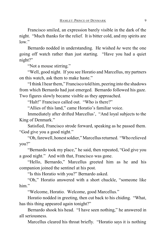Francisco smiled, an expression barely visible in the dark of the night. "Much thanks for the relief. It is bitter cold, and my spirits are low."

Bernardo nodded in understanding. He wished *he* were the one going off watch rather than just starting. "Have you had a quiet night?"

"Not a mouse stirring."

"Well, good night. If you see Horatio and Marcellus, my partners on this watch, ask them to make haste."

"Ithink I hear them," Francisco told him, peering into the shadows from which Bernardo had just emerged. Bernardo followed his gaze. Two figures slowly became visible as they approached.

"Halt!" Francisco called out. "Who is there?"

"Allies of this land," came Horatio's familiar voice.

Immediately after drifted Marcellus', "And loyal subjects to the King of Denmark."

Satisfied, Francisco strode forward, speaking as he passed them. "God give you a good night."

"Oh, farewell, honest soldier," Marcellus returned. "Who relieved you?"

"Bernardo took my place," he said, then repeated, "God give you a good night." And with that, Francisco was gone.

"Hello, Bernardo," Marcellus greeted him as he and his companion joined the sentinel at his post.

"Is this Horatio with you?" Bernardo asked.

"Oh," Horatio answered with a short chuckle, "someone like him."

"Welcome, Horatio. Welcome, good Marcellus."

Horatio nodded in greeting, then cut back to his chiding. "What, has this thing appeared again tonight?"

Bernardo shook his head. "I have seen nothing," he answered in all seriousness.

Marcellus cleared his throat briefly. "Horatio says it is nothing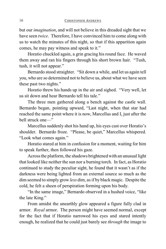but our *imagination*, and will not believe in this dreaded sight that we have seen *twice*. Therefore, I have convinced him to come along with us to watch the minutes of this night, so that if this apparition again comes, he may pay witness and speak to it."

Horatio chuckled again, a grin gracing his round face. He waved them away and ran his fingers through his short brown hair. "Tush, tush, it will not appear."

Bernardo stood straighter. "Sit down a while, and let us again tell you, who are so determined not to believe us, about what we have seen these past two nights."

Horatio threw his hands up in the air and sighed. "Very well, let us sit down and hear Bernardo tell his tale."

The three men gathered along a bench against the castle wall. Bernardo began, pointing upward, "Last night, when that star had reached the same point where it is now, Marcellus and I, just after the bell struck one—"

Marcellus suddenly shot his hand up, his eyes cast over Horatio's shoulder. Bernardo froze. "Please, be quiet," Marcellus whispered. "Look what comes again."

Horatio stared at him in confusion for a moment, waiting for him to speak further, then followed his gaze.

Across the platform, the shadows brightened with an unusual light that looked like neither the sun nor a burning torch. In fact, as Horatio continued to study the peculiar sight, he found that it wasn't as if the darkness were being lighted from an external source so much as the dim seemed to simply grow *less* dim, asif by black magic. Despite the cold, he felt a sheen of perspiration forming upon his body.

"In the same image," Bernardo observed in a hushed voice, "like the late King."

From amidst the unearthly glow appeared a figure fully clad in armor. *Royal* armor. The person might have seemed normal, except for the fact that if Horatio narrowed his eyes and stared intently enough, he realized that he could just barely see *through* the image to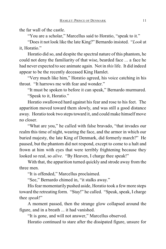the far wall of the castle.

"You are a scholar," Marcellus said to Horatio, "speak to it."

"Does it not look like the late King?" Bernardo insisted. "*Look* at it, Horatio."

Horatio did so, and despite the spectral nature of this phantom, he could not deny the familiarity of that wise, bearded face ... a face he had never expected to see animate again. Not in *this* life. It did indeed appear to be the recently deceased King Hamlet.

"Very much like him," Horatio agreed, his voice catching in his throat. "It harrows me with fear and wonder."

"It must be spoken to before it can speak," Bernardo murmured. "Speak to it, Horatio."

Horatio swallowed hard against his fear and rose to his feet. The apparition moved toward them slowly, and was still a good distance away. Horatio took two steps toward it, and could make himself move no closer.

"What are you," he called with false bravado, "that invades our realm this time of night, wearing the face, and the armor in which our buried majesty, the late King of Denmark, did formerly march?" He paused, but the phantom did not respond, except to come to a halt and frown at him with eyes that were terribly frightening because they looked so real, so *alive*. "By Heaven, I charge thee speak!"

With that, the apparition turned quickly and strode away from the three men.

"It is offended," Marcellus proclaimed.

"See," Bernardo chimed in, "it stalks away."

His fear momentarily pushed aside, Horatio took a few more steps toward the retreating form. "Stay!" he called. "Speak, speak, I charge thee *speak*!"

A moment passed, then the strange glow collapsed around the figure, and in a breath ... it had vanished.

"It is gone, and will not answer," Marcellus observed.

Horatio continued to stare after the dissipated figure, unsure for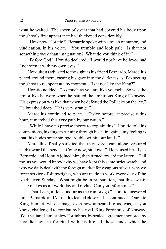what he waited. The sheen of sweat that had covered his body upon the ghost's first appearance had thickened considerably.

"How now, Horatio?" Bernardo spoke with a touch of humor, and vindication, in his voice. "You tremble and look pale. Is that not something *more* than imagination? What do you think of it?"

"Before God," Horatio declared, "I would not have believed had I not seen it with my own eyes."

Not quite as adjusted to the sight as his friend Bernardo, Marcellus paced around them, casting his gaze into the darkness as if expecting the ghost to reappear at any moment. "Is it not like the King?"

Horatio nodded. "As much as you are like yourself. So was the armor like he wore when he battled the ambitious King of Norway. His expression was like that when he defeated the Pollacks on the ice." He breathed deep. "It is very strange."

Marcellus continued to pace. "Twice before, at precisely this hour, it marched this very path by our watch."

"While I have no precise theory to explain this," Horatio told his companions, his fingers running through his hair again, "my feeling is that this bodes some strange trouble within our lands."

Marcellus, finally satisfied that they were again alone, gestured back toward the bench. "Come now, sit down." He paused briefly as Bernardo and Horatio joined him, then turned toward the latter. "Tell me, as you would know, why we have kept this same strict watch, and why we daily deal with the foreign market for weapons of war, why we force service of shipwrights, who are made to work every day of the week, even Sunday. What might be in preparation, that this sweaty haste makes us all work day and night? Can you inform me?"

"That I can, at least as far as the rumors go," Horatio answered him. Bernardo and Marcellus leaned closer as he continued. "Our late King Hamlet, whose image even now appeared to us, was, as you know, challenged to combat by his rival, King Fortinbras of Norway. If our valiant Hamlet slew Fortinbras, by sealed agreement honored by heraldic law, he forfeited with his life all those lands which he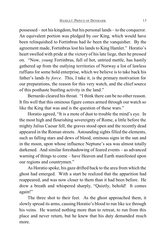possessed – not his kingdom, but his personal lands – to the conqueror. An equivalent portion was pledged by *our* King, which would have been relinquished to Fortinbras had *he* been the vanquisher. By the agreement made, Fortinbras lost his lands to King Hamlet." Horatio's heart swelled with pride at the victory of hislate liege, then he pressed on. "Now, *young* Fortinbras, full of hot, untried mettle, has hastily gathered up from the outlying territories of Norway a list of lawless ruffians for some bold enterprise, which we believe is to take back his father's lands *by force*. This, I take it, is the primary motivation for our preparations, the reason for this very watch, and the chief source of this posthaste bustling activity in the land."

Bernardo cleared his throat. "I think there can be no other reason. It fits well that this ominous figure comes armed through our watch so like the King that was and is the question of these wars."

Horatio agreed, "It is a mote of dust to trouble the mind's eye. In the most high and flourishing sovereignty of Rome, a little before the mighty Julius Caesar fell, the graves stood open and the recently dead appeared in the Roman streets. Astounding sights filled the elements, such as falling stars and dews of blood, ominous signs in the sun and in the moon, upon whose influence Neptune's sea was almost totally darkened. And similar foreshadowing of feared events – as advanced warning of things to come – have Heaven and Earth manifested upon our regions and countrymen."

As Horatio spoke, his gaze drifted back to the area from which the ghost had emerged. With a start he realized that the apparition had reappeared, and was now closer to them than it had been before. He drew a breath and whispered sharply, "Quietly, behold! It comes again!"

The three shot to their feet. As the ghost approached them, it slowly spread its arms, causing Horatio's blood to run like ice through his veins. He wanted nothing more than to retreat, to run from this place and never return, but he knew that his duty demanded much more.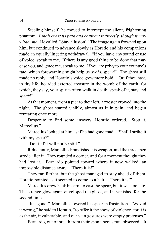Steeling himself, he moved to intercept the silent, frightening phantom. *I shall cross its path and confront it directly, though it may wither me.* He called, "Stay, illusion!" The image again frowned upon him, but continued to advance slowly as Horatio and his companions made an equally lingering withdrawal. "If you have any sound or use of voice, speak to me. If there is any good thing to be done that may ease you, and grace me, speak to me. If you are privy to your country's fate, which forewarning might help us *avoid*, speak!" The ghost still made no reply, and Horatio's voice grew more bold. "Or if thou hast, in thy life, hoarded extorted treasure in the womb of the earth, for which, they say, your spirits often walk in death, speak of it, stay and *speak*!"

At that moment, from a pier to their left, a rooster crowed into the night. The ghost started visibly, almost as if in pain, and began retreating once more.

Desperate to find some answers, Horatio ordered, "Stop it, Marcellus."

Marcellus looked at him as if he had gone mad. "Shall I strike it with my spear?"

"Do it, if it will not be still."

Reluctantly, Marcellus brandished his weapon, and the three men strode after it. They rounded a corner, and for a moment thought they had lost it. Bernardo pointed toward where it now walked, an impossible distance away. "There it is!"

They ran further, but the ghost managed to stay ahead of them. Horatio pointed as it seemed to come to a halt. "There it is!"

Marcellus drew back his arm to cast the spear, but it was too late. The strange glow again enveloped the ghost, and it vanished for the second time.

"It is gone!" Marcellus lowered his spear in frustration. "We did it wrong," he said to Horatio, "to offer it the show of violence, for it is as the air, invulnerable, and our vain gestures were empty pretenses."

Bernardo, out of breath from their spontaneous run, observed, "It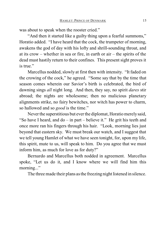was about to speak when the rooster cried."

"And then it started like a guilty thing upon a fearful summons," Horatio added. "I have heard that the cock, the trumpeter of morning, awakens the god of day with his lofty and shrill-sounding throat, and at its crow – whether in sea or fire, in earth or air – the spirits of the dead must hastily return to their confines. This present sight proves it is true."

Marcellus nodded, slowly at first then with intensity. "It faded on the crowing of the cock," he agreed. "Some say that by the time that season comes wherein our Savior's birth is celebrated, the bird of dawning sings *all* night long. And then, they say, no spirit *dares* stir abroad; the nights are wholesome; then no malicious planetary alignments strike, no fairy bewitches, nor witch has power to charm, so hallowed and so *good* is the time."

Never the superstitious but ever the diplomat, Horatio merely said, "So have I heard, and do – in part – believe it." He grit his teeth and once more ran his fingers through his hair. "Look, morning lies just beyond that eastern sky. We must break our watch, and I suggest that we tell young Hamlet of what we have seen tonight, for, upon my life, this spirit, mute to us, will speak to him. Do you agree that we must inform him, as much for love as for duty?"

Bernardo and Marcellus both nodded in agreement. Marcellus spoke, "Let us do it, and I know where we will find him this morning..."

The three made their plans as the freezing night listened in silence.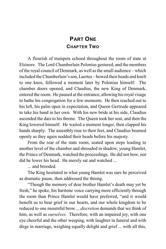## **PART ONE CHAPTER TWO**

A flourish of trumpets echoed throughout the room of state at Elsinore. The Lord Chamberlain Polonius gestured, and the members of the royal council of Denmark, as well as the small audience – which included the Chamberlain's son, Laertes – bowed their heads and knelt to one knee, followed a moment later by Polonius himself. The chamber doors opened, and Claudius, the new King of Denmark, entered the room. He paused at the entrance, allowing his royal visage to bathe his congregation for a few moments. He then reached out to his left, his palm open in expectation, and Queen Gertrude appeared to take his hand in her own. With his new bride at his side, Claudius ascended the dais to his throne. The Queen took her seat, and then the King lowered himself. He waited a moment longer, then clapped his hands sharply. The assembly rose to their feet, and Claudius beamed openly as they again nodded their heads before his majesty.

From the rear of the state room, seated upon steps leading to another level of the chamber and shrouded in shadow, young Hamlet, the Prince of Denmark, watched the proceedings. He did not bow, nor did he lower his head. He merely sat and watched ...

... and brooded.

The King hesitated in what young Hamlet was sure he perceived as dramatic pause, then addressed the throng.

"Though the memory of dear brother Hamlet's death may yet be fresh," he spoke, his baritone voice carrying more efficiently through the room than Prince Hamlet would have preferred, "and it would benefit us to bear grief in our hearts, and our whole kingdom to be reduced to one mournful brow ... *discretion* demands that we think of him, as well as *ourselves*. Therefore, with an impaired joy, with one eye cheerful and the other weeping, with laughter in funeral and with dirge in marriage, weighing equally delight and grief ... with all this,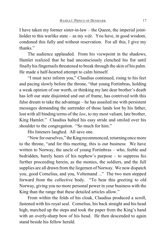I have taken my former sister-in-law – the Queen, the imperial jointholder to this warlike state – as my *wife*. You have, in good wisdom, condoned this fully and without reservation. For all this, I give my thanks."

The audience applauded. From his viewpoint in the shadows, Hamlet realized that he had unconsciously clenched his fist until finally his fingernails threatened to break through the skin of his palm. He made a half-hearted attempt to calm himself.

"I must next inform you," Claudius continued, rising to his feet and pacing slowly before the throne, "that young Fortinbras, holding a weak opinion of our worth, or thinking my late dear brother's death has left our state disjointed and out of frame, has contrived with this false dream to take the advantage – he has assailed me with persistent messages demanding the surrender of those lands lost by his father, lost with all binding terms of the *law*, to my most valiant, late brother, King Hamlet." Claudius halted his easy stride and smiled over his shoulder to the congregation. "So much for him."

His listeners laughed. All save one.

"Now for ourselves," the King recommenced, returning once more to the throne, "and for this meeting, this is our business: We have written to Norway, the uncle of young Fortinbras – who, feeble and bedridden, barely hears of his nephew's purpose – to suppress his further proceeding herein, as the monies, the soldiers, and the full supplies are all drawn from the liegemen of Norway. We now dispatch you, good Cornelius, and you, Voltemand ..." The two men stepped forward from the collective body. "To bear this greeting to old Norway, giving you no more personal power in your business with the King than the range that these detailed articles allow."

From within the folds of his cloak, Claudius produced a scroll, fastened with his royal seal. Cornelius, his back straight and his head high, marched up the steps and took the paper from the King's hand with an overly-sharp bow of his head. He then descended to again stand beside his fellow herald.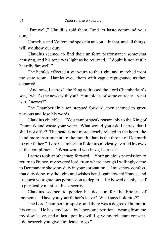"Farewell," Claudius told them, "and let haste command your duty."

Cornelius and Voltemand spoke in unison. "In that, and all things, will we show our duty."

Claudius seemed to find their uniform performance somewhat amusing, and his tone was light as he returned, "I doubt it not at all; heartily farewell."

The heralds effected a snap-turn to the right, and marched from the state room. Hamlet eyed them with vague repugnance as they departed.

"And now, Laertes," the King addressed the Lord Chamberlain's son, "what's the news with you? You told us of some entreaty – what is it, Laertes?"

The Chamberlain's son stepped forward, then seemed to grow nervous and lose his words.

Claudius chuckled. "You cannot speak reasonably to the King of Denmark and waste your voice. What would you ask, Laertes, that I shall not offer? The head is not more closely related to the heart, the hand more instrumental to the mouth, than is the throne of Denmark to your father." Lord Chamberlain Polonius modestly averted his eyes at the compliment. "What would you have, Laertes?"

Laertes took another step forward. "Your gracious permission to return to France, my revered lord, from where, though I willingly came to Denmark to show my duty in your coronation ... I must now confess, that duty done, my thoughts and wishes bend again toward France, and I request your gracious permission to depart." He bowed deeply, as if to physically manifest his sincerity.

Claudius seemed to ponder his decision for the briefest of moments. "Have you your father's leave? What says Polonius?"

The Lord Chamberlain spoke, and there was a degree of humor in his voice. "He has, my lord – by laborsome petition – wrung from me my slow leave, and at last upon his will I gave my reluctant consent. I do beseech you give him leave to go."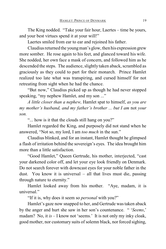The King nodded. "Take your fair hour, Laertes – time be yours, and your best virtues spend it at your will!"

Laertes smiled from ear to ear and rejoined his father.

Claudius returned the young man's glow, then his expression grew more somber. He rose again to his feet, and glanced toward his wife. She nodded, her own face a mask of concern, and followed him as he descended the steps. The audience, slightly taken aback, scrambled as graciously as they could to part for their monarch. Prince Hamlet realized too late what was transpiring, and cursed himself for not retreating from sight when he had the chance.

"But now," Claudius picked up as though he had never stopped speaking, "my nephew Hamlet, and my son ..."

*A little closer than a nephew,* Hamlet spat to himself, *as you are my mother's husband, and my father's brother ... but I am* not *your son.*

"... how is it that the clouds still hang on you?"

Hamlet regarded the King, and purposely did not stand when he answered, "Not so, my lord, I am *too much* in the sun."

Claudius blinked, and for an instant, Hamlet thought he glimpsed a flash of irritation behind the sovereign's eyes. The idea brought him more than a little satisfaction.

"Good Hamlet," Queen Gertrude, his mother, interjected, "cast your darkened color off, and let your eye look friendly on Denmark. Do not search forever with downcast eyes for your noble father in the dust. You know it is universal – all that lives must die, passing through nature to eternity."

Hamlet looked away from his mother. "Aye, madam, it is universal"

"If it is, why does it seem so *personal* with you?"

Hamlet's gaze now snapped to her, and Gertrude wastaken aback by the anger and hurt she saw in her son's countenance. " '*Seems*,' madam? No, it *is* – I know not 'seems.' It is not only my inky cloak, good mother, nor customary suits of solemn black, nor forced sighing,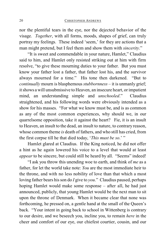nor the plentiful tears in the eye, nor the dejected behavior of the visage. *Together*, with all forms, moods, shapes of grief, can truly portray my feelings. These indeed 'seem,' for they are actions that a man might pretend, but I feel them and show them with *sincerity*."

"It is sweet and commendable in your nature, Hamlet," Claudius said to him, and Hamlet only resisted striking out at him with firm resolve, "to give these mourning duties to your father. But you must know your father lost a father, that father lost his, and the survivor always mourned for a time." His tone then darkened. "But to *continually* mourn is blasphemous *stubbornness* – it is unmanly grief; it shows a will unsubmissive to Heaven, an insecure heart, or impatient mind, an understanding simple and *unschooled*." Claudius straightened, and his following words were obviously intended as a show for his masses. "For what we know must be, and is as common as any of the most common experiences, why should we, in our quarrelsome opposition, take it against the heart? Fie, it is an insult to Heaven, an insult to the dead, an insult to nature, to contrary reason, whose common theme *is* death of fathers, and who still has cried, from the first corpse till he that died today, '*This must be so*.' "

Hamlet glared at Claudius. If the King noticed, he did not offer a hint as he again lowered his voice to a level that would at least *appear* to be sincere, but could still be heard by all. "Seems" indeed!

"I ask you throw this unending woe to earth, and think of *me* as a father, for let the world take note: *You* are the most immediate heir to the throne, and with no less nobility of love than that which a most loving father bears his son do *I* give to *you*." Claudius paused, perhaps hoping Hamlet would make some response – after all, he had just announced, publicly, that young Hamlet would be the next man to sit upon the throne of Denmark. When it became clear that none was forthcoming, he pressed on, a gentle hand at the small of the Queen's back. "Your intent in going back to school in Wittenberg is contrary to our desire, and we beseech you, incline you, to remain *here* in the cheer and comfort of our eye, our chiefest courtier, cousin, and our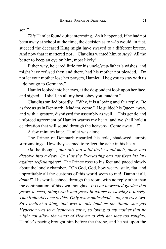son"

*This* Hamlet found quite interesting. As it happened, if he had not been away at school at the time, the decision as to *who* would, in fact, succeed the deceased King might have swayed to a different breeze. And now that it mattered not ... Claudius wanted him to *stay*? All the better to keep an eye on him, most likely!

Either way, he cared little for his uncle/step-father's wishes, and might have refused then and there, had his mother not pleaded, "Do not let your mother lose her prayers, Hamlet. I beg you to stay with us – do not go to Germany."

Hamlet looked into her eyes, at the despondent look upon her face, and sighed. "I shall, in all my best, obey you, madam."

Claudius smiled broadly. "Why, it is a loving and fair reply. Be as free as us in Denmark. Madam, come." He guided his Queen away, and with a gesture, dismissed the assembly as well. "This gentle and unforced agreement of Hamlet warms my heart, and we shall hold a celebration that will sound through the heavens. Come away ...!"

A few minutes later, Hamlet was alone.

The Prince of Denmark regarded his cold, shadowed, empty surroundings. How they seemed to reflect the ache in his heart.

*Oh*, he thought, *that this too solid flesh would melt, thaw, and dissolve into a dew! Or that the Everlasting had not fixed his law against self-slaughter!* The Prince rose to his feet and paced slowly about the lonely chamber. "Oh God, God, how weary, stale, flat, and unprofitable all the customs of this world seem to me! Damn it all, *damn*!" His words echoed through the room, with no reply other than the continuation of his own thoughts. *It is an unweeded garden that grows to seed, things rank and gross in nature possessing it utterly. That it should come to this! Only two months dead ... no, not even two. So excellent a king, that was to this land as the titanic sun-god Hyperion was to a lecherous satyr, so loving to my mother that he might not allow the winds of Heaven to visit her face too roughly.* Hamlet's pacing brought him before the throne, and he sat upon the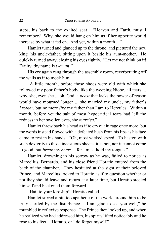steps, his back to the exalted seat. "Heaven and Earth, must I remember? Why, she would hang on him as if her appetite would increase by what it fed on. And yet, within a month ..."

Hamlet turned and glanced up to the throne, and pictured the new king, his uncle-father, sitting upon it beside his aunt-mother. He quickly turned away, closing his eyes tightly. "Let me not think on it! Frailty, thy name is *woman*!"

His cry again rang through the assembly room, reverberating off the walls as if to mock him.

"A little month, before those shoes were old with which she followed my poor father's body, like the weeping Niobe, all tears ... why, she, even she ... oh, God, a *beast* that lacks the power of reason would have mourned longer ... she married my uncle, my father's *brother*, but no more *like* my father than I am to Hercules. Within a month, before yet the salt of most hypocritical tears had left the redness in her swollen eyes, she *married*."

Hamlet threw back his head as if to cry out in rage once more, but the words instead flowed with a defeated hush from hislips as his face came to rest in his hands. "Oh, most wicked speed. To hasten with such dexterity to those incestuous sheets, it is not, nor it cannot come to good, but *break* my *heart* ... for I must hold my tongue."

Hamlet, drowning in his sorrow as he was, failed to notice as Marcellus, Bernardo, and his close friend Horatio entered from the back of the chamber. They hesitated at the sight of their beloved Prince, and Marcellus looked to Horatio as if to question whether or not they should leave and return at a later time, but Horatio steeled himself and beckoned them forward.

"Hail to your lordship!" Horatio called.

Hamlet stirred a bit, too apathetic of the world around him to be truly startled by the disturbance. "I am glad to see you well," he mumbled in reflexive response. The Prince then looked up, and when he realized who had addressed him, his spirits lifted noticeably and he rose to his feet. "Horatio, or I do forget myself."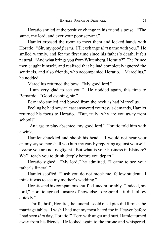Horatio smiled at the positive change in his friend's poise. "The same, my lord, and ever your poor servant."

Hamlet crossed the room to meet them and locked hands with Horatio. "Sir, my good *friend*. I'll exchange *that* name with you." He smiled warmly, and for the first time since his father's death, it felt natural. "And what brings you from Wittenberg, Horatio?" The Prince then caught himself, and realized that he had completely ignored the sentinels, and also friends, who accompanied Horatio. "Marcellus," he nodded.

Marcellus returned the bow. "My good lord."

"I am very glad to see you." He nodded again, this time to Bernardo. "Good evening, sir."

Bernardo smiled and bowed from the neck as had Marcellus.

Feeling he had now at least answered courtesy's demands, Hamlet returned his focus to Horatio. "But, truly, why are you away from school?"

"An urge to play absentee, my good lord," Horatio told him with a wink.

Hamlet chuckled and shook his head. "I would not hear your enemy say so, nor shall you hurt my ears by reporting against yourself. I *know* you are not negligent. But what is your business in Elsinore? We'll teach you to drink deeply before you depart."

Horatio sighed. "My lord," he admitted, "I came to see your father's funeral."

Hamlet scoffed, "I ask you do not mock me, fellow student. I think it was to see my mother's wedding."

Horatio and his companions shuffled uncomfortably. "Indeed, my lord," Horatio agreed, unsure of how else to respond, "it did follow quickly."

"Thrift, thrift, Horatio, the funeral's cold meat pies did furnish the marriage tables. I wish I had met my most hated foe in Heaven before I had seen *that* day, Horatio!" Torn with anger and hurt, Hamlet turned away from his friends. He looked again to the throne and whispered,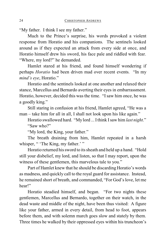"My father. I think I see my father."

Much to the Prince's surprise, his words provoked a violent response from Horatio and his companions. The sentinels looked around as if they expected an attack from every side at once, and Horatio himself drew his sword, his face pale and riddled with fear. "Where, my lord?" he demanded.

Hamlet stared at his friend, and found himself wondering if perhaps *Horatio* had been driven mad over recent events. "In my *mind's eye*, Horatio."

Horatio and the sentinels looked at one another and relaxed their stance, Marcellus and Bernardo averting their eyes in embarrassment. Horatio, however, decided this was the time. "Isaw him once, he was a goodly king."

Still staring in confusion at his friend, Hamlet agreed, "He was a man – take him for all in all, I shall not look upon his like again."

Horatio swallowed hard. "My lord ... Ithink I saw him *last night*." "Saw who?"

"My lord, the King, your father."

The breath draining from him, Hamlet repeated in a harsh whisper, " 'The King, my father.' "

Horatio returned his sword to its sheath and held up a hand. "Hold still your disbelief, my lord, and listen, so that I may report, upon the witness of these gentlemen, this marvelous tale to you."

Part of Hamlet knew that he should be discarding Horatio's words as madness, and quickly call to the royal guard for assistance. Instead, he remained short of breath, and commanded, "For God's love, let me hear!"

Horatio steadied himself, and began. "For two nights these gentlemen, Marcellus and Bernardo, together on their watch, in the dead waste and middle of the night, have been thus visited: A figure like your father, armed in every detail, from head to foot, appears before them, and with solemn march goes slow and stately by them. Three times he walked by their oppressed eyes within his truncheon's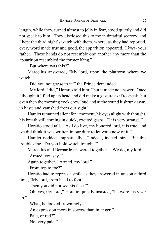length, while they, turned almost to jelly in fear, stood quietly and did not speak to him. They disclosed this to me in dreadful secrecy, and I kept the third night's watch with them, where, as they had reported, every word made true and good, the apparition appeared. I *knew* your father. These hands do not resemble one another any more than the apparition resembled the former King."

"But where was this?"

Marcellus answered, "My lord, upon the platform where we watch."

"Did you not *speak* to it?" the Prince demanded.

"My lord, I did," Horatio told him, "but it made no answer. Once I thought it lifted up its head and did make a gesture as if to speak, but even then the morning cock crew loud and at the sound it shrunk away in haste and vanished from our sight."

Hamlet remained silent for a moment, his eyes alight with thought, his breath still coming in quick, excited gasps. "It is very strange."

Horatio stood tall. "As I do live, my honored lord, it is true, and we did think it was written in our duty to let you know of it."

Hamlet nodded emphatically. "Indeed, indeed, sirs. But this troubles me. Do you hold watch tonight?"

Marcellus and Bernardo answered together. "We do, my lord."

"Armed, you say?"

Again together, "Armed, my lord."

"From top to toe?"

Horatio had to repress a smile as they answered in unison a third time, "My lord, from head to foot."

"Then you did not see his face?"

"Oh, yes, my lord," Horatio quickly insisted, "he wore his visor up."

"What, he looked frowningly?"

"An expression more in sorrow than in anger."

"Pale, or red?"

"No, very pale."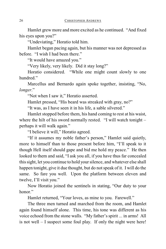Hamlet grew more and more excited as he continued. "And fixed his eyes upon you?"

"Undeviating," Horatio told him.

Hamlet began pacing again, but his manner was not depressed as before. "I wish I had been there."

"It would have amazed you."

"Very likely, very likely. Did it stay long?"

Horatio considered. "While one might count slowly to one hundred."

Marcellus and Bernardo again spoke together, insisting, "No, *longer*."

"Not when I saw it," Horatio asserted.

Hamlet pressed, "His beard was streaked with gray, no?"

"It was, as I have seen it in his life, a sable silvered."

Hamlet stopped before them, his hand coming to rest at his waist, where the hilt of his sword normally rested. "I will watch tonight – perhaps it will walk again."

"I believe it will," Horatio agreed.

"If it assumes my noble father's person," Hamlet said quietly, more to himself than to those present before him, "I'll speak to it though Hell itself should gape and bid me hold my peace." He then looked to them and said, "I ask you all, if you have thus far concealed this sight, let you continue to hold your silence, and whatever else shall happen tonight, give it due thought, but do not speak of it. I will do the same. So fare you well. Upon the platform between eleven and twelve, I'll visit you."

Now Horatio joined the sentinels in stating, "Our duty to your honor<sup>"</sup>

Hamlet returned, "Your loves, as mine to you. Farewell."

The three men turned and marched from the room, and Hamlet again found himself alone. This time, his tone was different as his voice echoed from the stone walls. "My father's spirit ... in arms! All is not well – I suspect some foul play. If only the night were here!